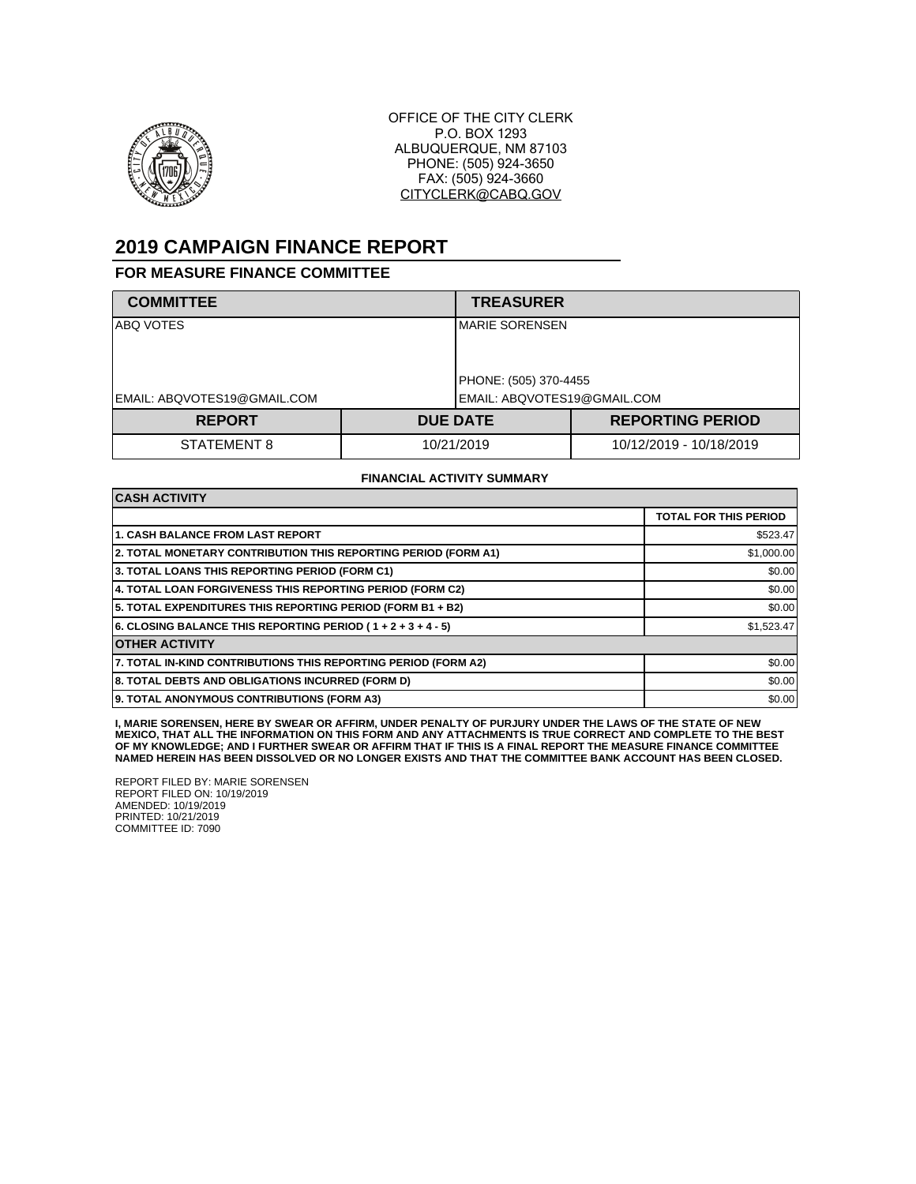

OFFICE OF THE CITY CLERK P.O. BOX 1293 ALBUQUERQUE, NM 87103 PHONE: (505) 924-3650 FAX: (505) 924-3660 CITYCLERK@CABQ.GOV

## **2019 CAMPAIGN FINANCE REPORT**

## **FOR MEASURE FINANCE COMMITTEE**

| <b>COMMITTEE</b>            |            | <b>TREASURER</b>            |                         |
|-----------------------------|------------|-----------------------------|-------------------------|
| ABQ VOTES                   |            | IMARIE SORENSEN             |                         |
|                             |            | PHONE: (505) 370-4455       |                         |
| EMAIL: ABQVOTES19@GMAIL.COM |            | EMAIL: ABQVOTES19@GMAIL.COM |                         |
| <b>REPORT</b>               |            | <b>DUE DATE</b>             | <b>REPORTING PERIOD</b> |
| STATEMENT 8                 | 10/21/2019 |                             | 10/12/2019 - 10/18/2019 |

## **FINANCIAL ACTIVITY SUMMARY**

| <b>CASH ACTIVITY</b>                                           |                              |  |  |  |
|----------------------------------------------------------------|------------------------------|--|--|--|
|                                                                | <b>TOTAL FOR THIS PERIOD</b> |  |  |  |
| <b>1. CASH BALANCE FROM LAST REPORT</b>                        | \$523.47                     |  |  |  |
| 2. TOTAL MONETARY CONTRIBUTION THIS REPORTING PERIOD (FORM A1) | \$1,000.00                   |  |  |  |
| 3. TOTAL LOANS THIS REPORTING PERIOD (FORM C1)                 | \$0.00                       |  |  |  |
| 4. TOTAL LOAN FORGIVENESS THIS REPORTING PERIOD (FORM C2)      | \$0.00                       |  |  |  |
| 5. TOTAL EXPENDITURES THIS REPORTING PERIOD (FORM B1 + B2)     | \$0.00                       |  |  |  |
| 6. CLOSING BALANCE THIS REPORTING PERIOD (1+2+3+4-5)           | \$1,523.47                   |  |  |  |
| <b>OTHER ACTIVITY</b>                                          |                              |  |  |  |
| 7. TOTAL IN-KIND CONTRIBUTIONS THIS REPORTING PERIOD (FORM A2) | \$0.00                       |  |  |  |
| 8. TOTAL DEBTS AND OBLIGATIONS INCURRED (FORM D)               | \$0.00                       |  |  |  |
| 9. TOTAL ANONYMOUS CONTRIBUTIONS (FORM A3)                     | \$0.00                       |  |  |  |

**I, MARIE SORENSEN, HERE BY SWEAR OR AFFIRM, UNDER PENALTY OF PURJURY UNDER THE LAWS OF THE STATE OF NEW MEXICO, THAT ALL THE INFORMATION ON THIS FORM AND ANY ATTACHMENTS IS TRUE CORRECT AND COMPLETE TO THE BEST OF MY KNOWLEDGE; AND I FURTHER SWEAR OR AFFIRM THAT IF THIS IS A FINAL REPORT THE MEASURE FINANCE COMMITTEE NAMED HEREIN HAS BEEN DISSOLVED OR NO LONGER EXISTS AND THAT THE COMMITTEE BANK ACCOUNT HAS BEEN CLOSED.**

REPORT FILED BY: MARIE SORENSEN REPORT FILED ON: 10/19/2019 AMENDED: 10/19/2019 PRINTED: 10/21/2019 COMMITTEE ID: 7090